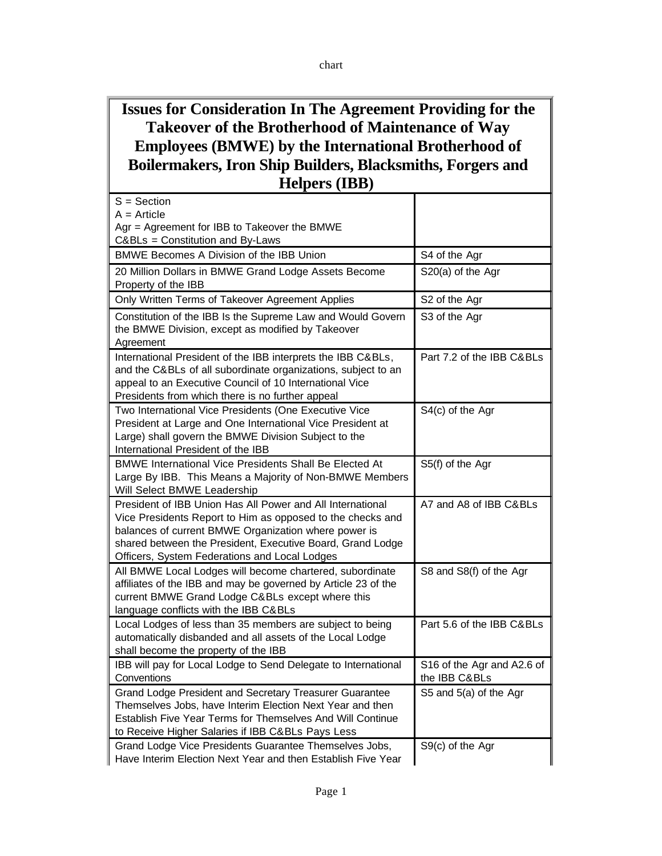## **Issues for Consideration In The Agreement Providing for the Takeover of the Brotherhood of Maintenance of Way Employees (BMWE) by the International Brotherhood of Boilermakers, Iron Ship Builders, Blacksmiths, Forgers and Helpers (IBB)**

| S = Section<br>$A = Article$                                                                                                                                                                                                                                                                    |                                             |
|-------------------------------------------------------------------------------------------------------------------------------------------------------------------------------------------------------------------------------------------------------------------------------------------------|---------------------------------------------|
| Agr = Agreement for IBB to Takeover the BMWE<br>C&BLs = Constitution and By-Laws                                                                                                                                                                                                                |                                             |
| BMWE Becomes A Division of the IBB Union                                                                                                                                                                                                                                                        | S4 of the Agr                               |
| 20 Million Dollars in BMWE Grand Lodge Assets Become<br>Property of the IBB                                                                                                                                                                                                                     | S20(a) of the Agr                           |
| Only Written Terms of Takeover Agreement Applies                                                                                                                                                                                                                                                | S2 of the Agr                               |
| Constitution of the IBB Is the Supreme Law and Would Govern<br>the BMWE Division, except as modified by Takeover<br>Agreement                                                                                                                                                                   | S3 of the Agr                               |
| International President of the IBB interprets the IBB C&BLs,<br>and the C&BLs of all subordinate organizations, subject to an<br>appeal to an Executive Council of 10 International Vice<br>Presidents from which there is no further appeal                                                    | Part 7.2 of the IBB C&BLs                   |
| Two International Vice Presidents (One Executive Vice<br>President at Large and One International Vice President at<br>Large) shall govern the BMWE Division Subject to the<br>International President of the IBB                                                                               | S4(c) of the Agr                            |
| <b>BMWE International Vice Presidents Shall Be Elected At</b><br>Large By IBB. This Means a Majority of Non-BMWE Members<br>Will Select BMWE Leadership                                                                                                                                         | S5(f) of the Agr                            |
| President of IBB Union Has All Power and All International<br>Vice Presidents Report to Him as opposed to the checks and<br>balances of current BMWE Organization where power is<br>shared between the President, Executive Board, Grand Lodge<br>Officers, System Federations and Local Lodges | A7 and A8 of IBB C&BLs                      |
| All BMWE Local Lodges will become chartered, subordinate<br>affiliates of the IBB and may be governed by Article 23 of the<br>current BMWE Grand Lodge C&BLs except where this<br>language conflicts with the IBB C&BLs                                                                         | S8 and S8(f) of the Agr                     |
| Local Lodges of less than 35 members are subject to being<br>automatically disbanded and all assets of the Local Lodge<br>shall become the property of the IBB                                                                                                                                  | Part 5.6 of the IBB C&BLs                   |
| IBB will pay for Local Lodge to Send Delegate to International<br>Conventions                                                                                                                                                                                                                   | S16 of the Agr and A2.6 of<br>the IBB C&BLs |
| Grand Lodge President and Secretary Treasurer Guarantee<br>Themselves Jobs, have Interim Election Next Year and then<br>Establish Five Year Terms for Themselves And Will Continue<br>to Receive Higher Salaries if IBB C&BLs Pays Less                                                         | S5 and 5(a) of the Agr                      |
| Grand Lodge Vice Presidents Guarantee Themselves Jobs,<br>Have Interim Election Next Year and then Establish Five Year                                                                                                                                                                          | S9(c) of the Agr                            |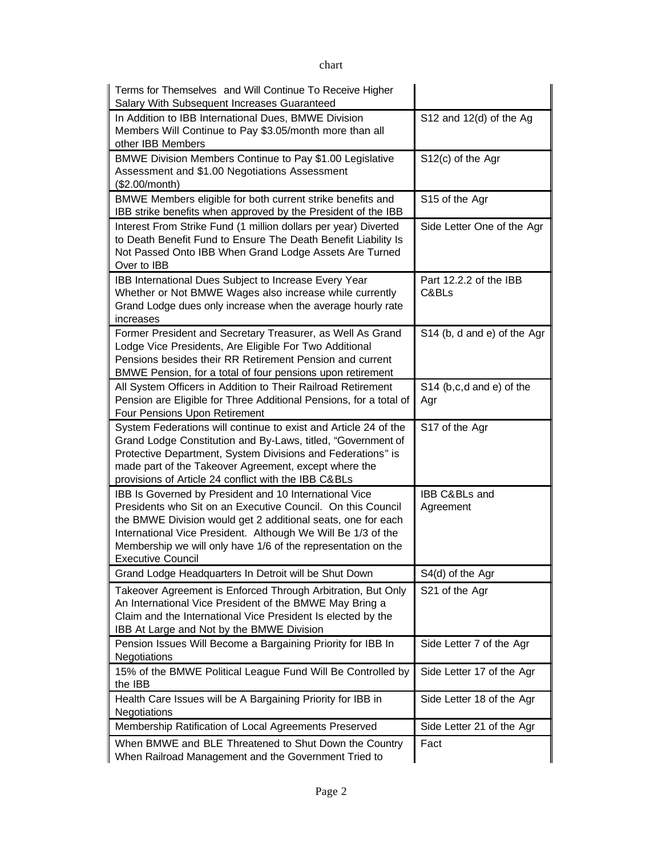| Terms for Themselves and Will Continue To Receive Higher<br>Salary With Subsequent Increases Guaranteed                                                                                                                                                                                                                                            |                                   |
|----------------------------------------------------------------------------------------------------------------------------------------------------------------------------------------------------------------------------------------------------------------------------------------------------------------------------------------------------|-----------------------------------|
| In Addition to IBB International Dues, BMWE Division<br>Members Will Continue to Pay \$3.05/month more than all<br>other IBB Members                                                                                                                                                                                                               | S12 and $12(d)$ of the Ag         |
| BMWE Division Members Continue to Pay \$1.00 Legislative<br>Assessment and \$1.00 Negotiations Assessment<br>(\$2.00/month)                                                                                                                                                                                                                        | S12(c) of the Agr                 |
| BMWE Members eligible for both current strike benefits and<br>IBB strike benefits when approved by the President of the IBB                                                                                                                                                                                                                        | S15 of the Agr                    |
| Interest From Strike Fund (1 million dollars per year) Diverted<br>to Death Benefit Fund to Ensure The Death Benefit Liability Is<br>Not Passed Onto IBB When Grand Lodge Assets Are Turned<br>Over to IBB                                                                                                                                         | Side Letter One of the Agr        |
| IBB International Dues Subject to Increase Every Year<br>Whether or Not BMWE Wages also increase while currently<br>Grand Lodge dues only increase when the average hourly rate<br>increases                                                                                                                                                       | Part 12.2.2 of the IBB<br>C&BLs   |
| Former President and Secretary Treasurer, as Well As Grand<br>Lodge Vice Presidents, Are Eligible For Two Additional<br>Pensions besides their RR Retirement Pension and current<br>BMWE Pension, for a total of four pensions upon retirement                                                                                                     | S14 (b, d and e) of the Agr       |
| All System Officers in Addition to Their Railroad Retirement<br>Pension are Eligible for Three Additional Pensions, for a total of<br>Four Pensions Upon Retirement                                                                                                                                                                                | $S14$ (b,c,d and e) of the<br>Agr |
| System Federations will continue to exist and Article 24 of the<br>Grand Lodge Constitution and By-Laws, titled, "Government of<br>Protective Department, System Divisions and Federations" is<br>made part of the Takeover Agreement, except where the<br>provisions of Article 24 conflict with the IBB C&BLs                                    | S17 of the Agr                    |
| IBB Is Governed by President and 10 International Vice<br>Presidents who Sit on an Executive Council. On this Council<br>the BMWE Division would get 2 additional seats, one for each<br>International Vice President. Although We Will Be 1/3 of the<br>Membership we will only have 1/6 of the representation on the<br><b>Executive Council</b> | IBB C&BLs and<br>Agreement        |
| Grand Lodge Headquarters In Detroit will be Shut Down                                                                                                                                                                                                                                                                                              | S4(d) of the Agr                  |
| Takeover Agreement is Enforced Through Arbitration, But Only<br>An International Vice President of the BMWE May Bring a<br>Claim and the International Vice President Is elected by the<br>IBB At Large and Not by the BMWE Division                                                                                                               | S21 of the Agr                    |
| Pension Issues Will Become a Bargaining Priority for IBB In<br>Negotiations                                                                                                                                                                                                                                                                        | Side Letter 7 of the Agr          |
| 15% of the BMWE Political League Fund Will Be Controlled by<br>the IBB                                                                                                                                                                                                                                                                             | Side Letter 17 of the Agr         |
| Health Care Issues will be A Bargaining Priority for IBB in<br>Negotiations                                                                                                                                                                                                                                                                        | Side Letter 18 of the Agr         |
| Membership Ratification of Local Agreements Preserved                                                                                                                                                                                                                                                                                              | Side Letter 21 of the Agr         |
| When BMWE and BLE Threatened to Shut Down the Country<br>When Railroad Management and the Government Tried to                                                                                                                                                                                                                                      | Fact                              |